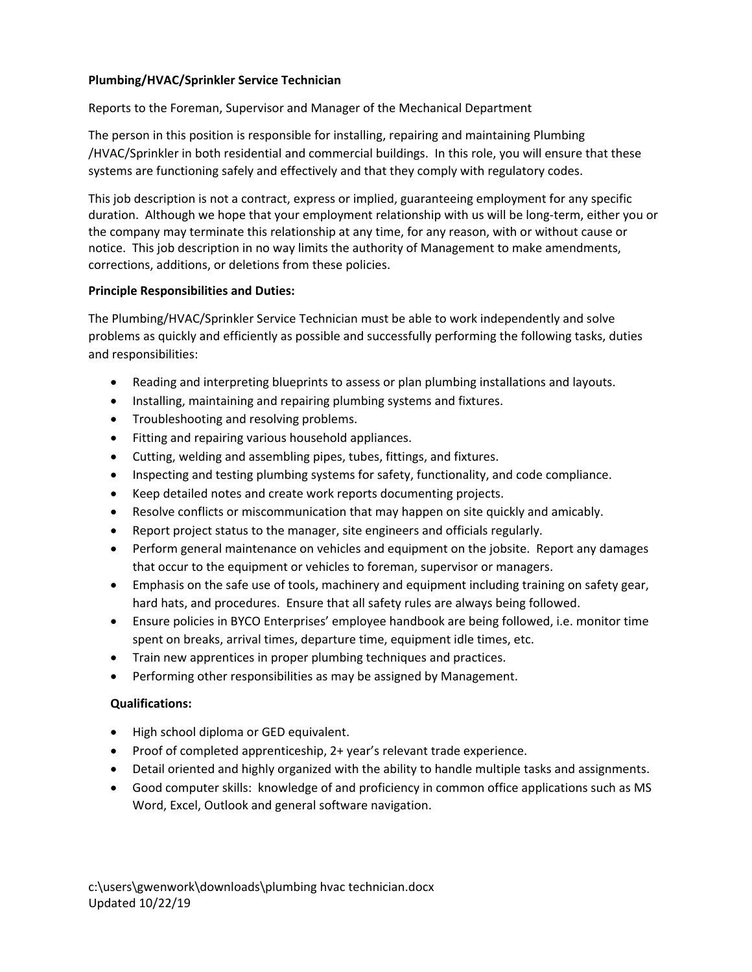## **Plumbing/HVAC/Sprinkler Service Technician**

Reports to the Foreman, Supervisor and Manager of the Mechanical Department

The person in this position is responsible for installing, repairing and maintaining Plumbing /HVAC/Sprinkler in both residential and commercial buildings. In this role, you will ensure that these systems are functioning safely and effectively and that they comply with regulatory codes.

This job description is not a contract, express or implied, guaranteeing employment for any specific duration. Although we hope that your employment relationship with us will be long-term, either you or the company may terminate this relationship at any time, for any reason, with or without cause or notice. This job description in no way limits the authority of Management to make amendments, corrections, additions, or deletions from these policies.

## **Principle Responsibilities and Duties:**

The Plumbing/HVAC/Sprinkler Service Technician must be able to work independently and solve problems as quickly and efficiently as possible and successfully performing the following tasks, duties and responsibilities:

- Reading and interpreting blueprints to assess or plan plumbing installations and layouts.
- Installing, maintaining and repairing plumbing systems and fixtures.
- Troubleshooting and resolving problems.
- Fitting and repairing various household appliances.
- Cutting, welding and assembling pipes, tubes, fittings, and fixtures.
- Inspecting and testing plumbing systems for safety, functionality, and code compliance.
- Keep detailed notes and create work reports documenting projects.
- Resolve conflicts or miscommunication that may happen on site quickly and amicably.
- Report project status to the manager, site engineers and officials regularly.
- Perform general maintenance on vehicles and equipment on the jobsite. Report any damages that occur to the equipment or vehicles to foreman, supervisor or managers.
- Emphasis on the safe use of tools, machinery and equipment including training on safety gear, hard hats, and procedures. Ensure that all safety rules are always being followed.
- Ensure policies in BYCO Enterprises' employee handbook are being followed, i.e. monitor time spent on breaks, arrival times, departure time, equipment idle times, etc.
- Train new apprentices in proper plumbing techniques and practices.
- Performing other responsibilities as may be assigned by Management.

## **Qualifications:**

- High school diploma or GED equivalent.
- Proof of completed apprenticeship, 2+ year's relevant trade experience.
- Detail oriented and highly organized with the ability to handle multiple tasks and assignments.
- Good computer skills: knowledge of and proficiency in common office applications such as MS Word, Excel, Outlook and general software navigation.